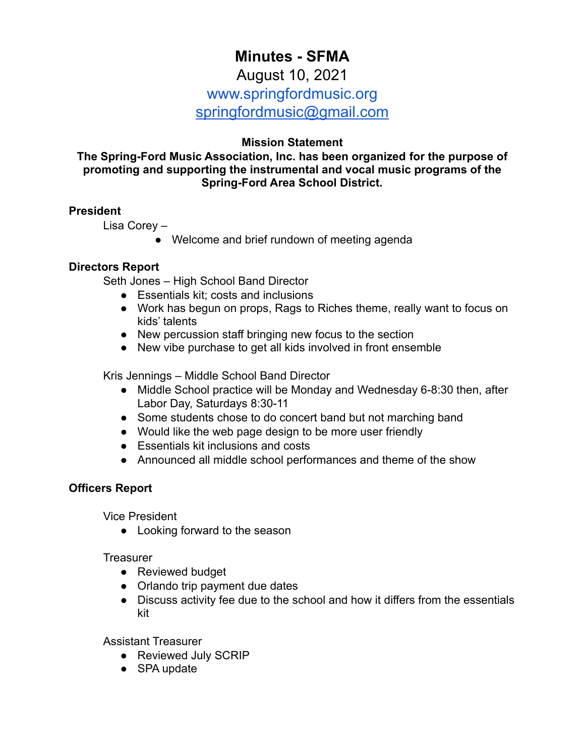# **Minutes - SFMA**

## August 10, 2021

# www.springfordmusic.org

[springfordmusic@gmail.com](mailto:springfordmusic@gmail.com)

## **Mission Statement**

**The Spring-Ford Music Association, Inc. has been organized for the purpose of promoting and supporting the instrumental and vocal music programs of the Spring-Ford Area School District.**

## **President**

Lisa Corey –

• Welcome and brief rundown of meeting agenda

## **Directors Report**

Seth Jones – High School Band Director

- Essentials kit; costs and inclusions
- Work has begun on props, Rags to Riches theme, really want to focus on kids' talents
- New percussion staff bringing new focus to the section
- New vibe purchase to get all kids involved in front ensemble

Kris Jennings – Middle School Band Director

- Middle School practice will be Monday and Wednesday 6-8:30 then, after Labor Day, Saturdays 8:30-11
- Some students chose to do concert band but not marching band
- Would like the web page design to be more user friendly
- Essentials kit inclusions and costs
- Announced all middle school performances and theme of the show

## **Officers Report**

Vice President

• Looking forward to the season

**Treasurer** 

- Reviewed budget
- Orlando trip payment due dates
- Discuss activity fee due to the school and how it differs from the essentials kit

Assistant Treasurer

- Reviewed July SCRIP
- SPA update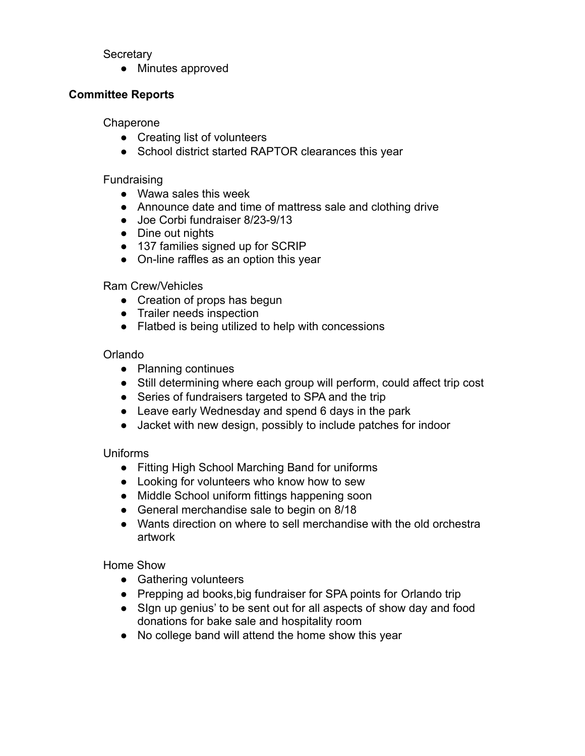#### **Secretary**

● Minutes approved

#### **Committee Reports**

#### **Chaperone**

- Creating list of volunteers
- School district started RAPTOR clearances this year

#### Fundraising

- Wawa sales this week
- Announce date and time of mattress sale and clothing drive
- Joe Corbi fundraiser 8/23-9/13
- Dine out nights
- 137 families signed up for SCRIP
- On-line raffles as an option this year

#### Ram Crew/Vehicles

- Creation of props has begun
- Trailer needs inspection
- Flatbed is being utilized to help with concessions

#### Orlando

- Planning continues
- Still determining where each group will perform, could affect trip cost
- Series of fundraisers targeted to SPA and the trip
- Leave early Wednesday and spend 6 days in the park
- Jacket with new design, possibly to include patches for indoor

#### Uniforms

- Fitting High School Marching Band for uniforms
- Looking for volunteers who know how to sew
- Middle School uniform fittings happening soon
- General merchandise sale to begin on 8/18
- Wants direction on where to sell merchandise with the old orchestra artwork

#### Home Show

- Gathering volunteers
- Prepping ad books, big fundraiser for SPA points for Orlando trip
- Sign up genius' to be sent out for all aspects of show day and food donations for bake sale and hospitality room
- No college band will attend the home show this year